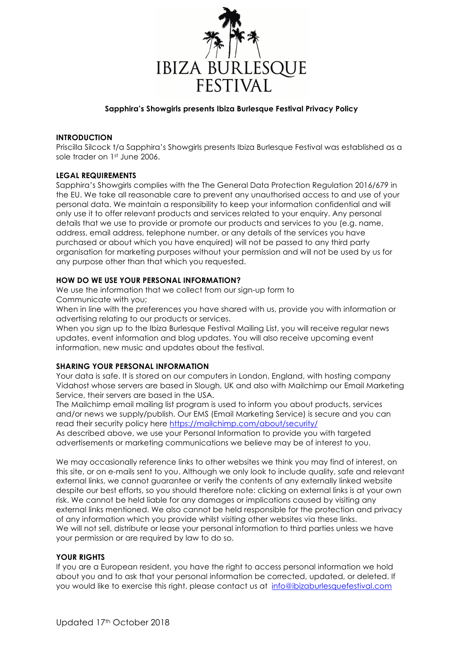

# **Sapphira's Showgirls presents Ibiza Burlesque Festival Privacy Policy**

# **INTRODUCTION**

Priscilla Silcock t/a Sapphira's Showgirls presents Ibiza Burlesque Festival was established as a sole trader on 1st June 2006.

# **LEGAL REQUIREMENTS**

Sapphira's Showgirls complies with the The General Data Protection Regulation 2016/679 in the EU. We take all reasonable care to prevent any unauthorised access to and use of your personal data. We maintain a responsibility to keep your information confidential and will only use it to offer relevant products and services related to your enquiry. Any personal details that we use to provide or promote our products and services to you (e.g. name, address, email address, telephone number, or any details of the services you have purchased or about which you have enquired) will not be passed to any third party organisation for marketing purposes without your permission and will not be used by us for any purpose other than that which you requested.

# **HOW DO WE USE YOUR PERSONAL INFORMATION?**

We use the information that we collect from our sign-up form to Communicate with you;

When in line with the preferences you have shared with us, provide you with information or advertising relating to our products or services.

When you sign up to the Ibiza Burlesque Festival Mailing List, you will receive regular news updates, event information and blog updates. You will also receive upcoming event information, new music and updates about the festival.

#### **SHARING YOUR PERSONAL INFORMATION**

Your data is safe. It is stored on our computers in London, England, with hosting company Vidahost whose servers are based in Slough, UK and also with Mailchimp our Email Marketing Service, their servers are based in the USA.

The Mailchimp email mailing list program is used to inform you about products, services and/or news we supply/publish. Our EMS (Email Marketing Service) is secure and you can read their security policy here https://mailchimp.com/about/security/

As described above, we use your Personal Information to provide you with targeted advertisements or marketing communications we believe may be of interest to you.

We may occasionally reference links to other websites we think you may find of interest, on this site, or on e-mails sent to you. Although we only look to include quality, safe and relevant external links, we cannot guarantee or verify the contents of any externally linked website despite our best efforts, so you should therefore note: clicking on external links is at your own risk. We cannot be held liable for any damages or implications caused by visiting any external links mentioned. We also cannot be held responsible for the protection and privacy of any information which you provide whilst visiting other websites via these links. We will not sell, distribute or lease your personal information to third parties unless we have your permission or are required by law to do so.

### **YOUR RIGHTS**

If you are a European resident, you have the right to access personal information we hold about you and to ask that your personal information be corrected, updated, or deleted. If you would like to exercise this right, please contact us at info@ibizaburlesquefestival.com